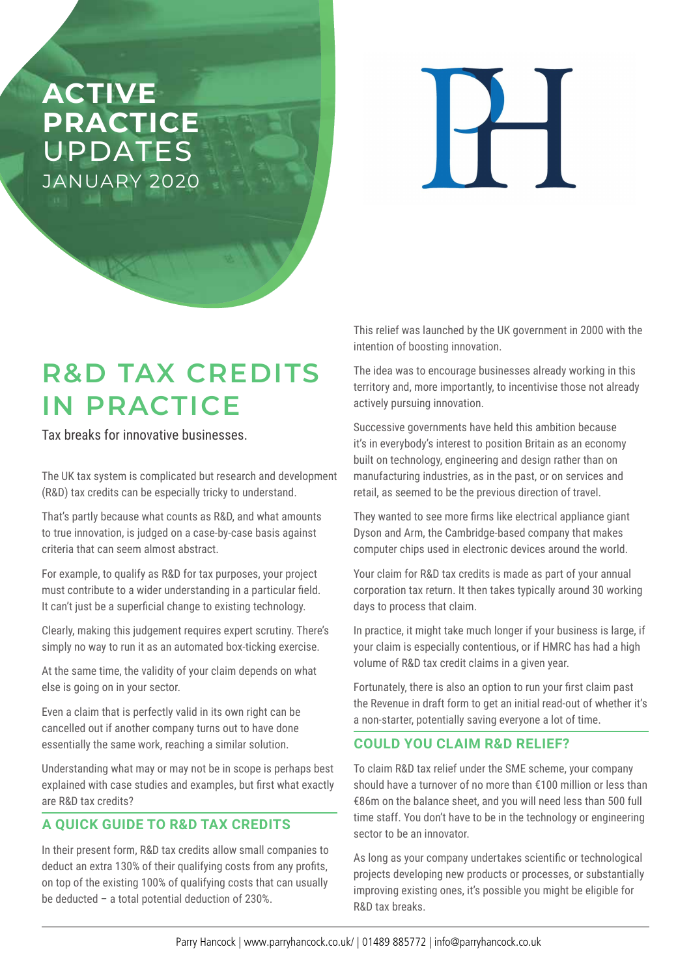# **ACTIVE PRACTICE**  UPDATES JANUARY 2020

# **R&D TAX CREDITS IN PRACTICE**

Tax breaks for innovative businesses.

The UK tax system is complicated but research and development (R&D) tax credits can be especially tricky to understand.

That's partly because what counts as R&D, and what amounts to true innovation, is judged on a case-by-case basis against criteria that can seem almost abstract.

For example, to qualify as R&D for tax purposes, your project must contribute to a wider understanding in a particular field. It can't just be a superficial change to existing technology.

Clearly, making this judgement requires expert scrutiny. There's simply no way to run it as an automated box-ticking exercise.

At the same time, the validity of your claim depends on what else is going on in your sector.

Even a claim that is perfectly valid in its own right can be cancelled out if another company turns out to have done essentially the same work, reaching a similar solution.

Understanding what may or may not be in scope is perhaps best explained with case studies and examples, but first what exactly are R&D tax credits?

## **A QUICK GUIDE TO R&D TAX CREDITS**

In their present form, R&D tax credits allow small companies to deduct an extra 130% of their qualifying costs from any profits, on top of the existing 100% of qualifying costs that can usually be deducted – a total potential deduction of 230%.

This relief was launched by the UK government in 2000 with the intention of boosting innovation.

The idea was to encourage businesses already working in this territory and, more importantly, to incentivise those not already actively pursuing innovation.

Successive governments have held this ambition because it's in everybody's interest to position Britain as an economy built on technology, engineering and design rather than on manufacturing industries, as in the past, or on services and retail, as seemed to be the previous direction of travel.

They wanted to see more firms like electrical appliance giant Dyson and Arm, the Cambridge-based company that makes computer chips used in electronic devices around the world.

Your claim for R&D tax credits is made as part of your annual corporation tax return. It then takes typically around 30 working days to process that claim.

In practice, it might take much longer if your business is large, if your claim is especially contentious, or if HMRC has had a high volume of R&D tax credit claims in a given year.

Fortunately, there is also an option to run your first claim past the Revenue in draft form to get an initial read-out of whether it's a non-starter, potentially saving everyone a lot of time.

### **COULD YOU CLAIM R&D RELIEF?**

To claim R&D tax relief under the SME scheme, your company should have a turnover of no more than €100 million or less than €86m on the balance sheet, and you will need less than 500 full time staff. You don't have to be in the technology or engineering sector to be an innovator.

As long as your company undertakes scientific or technological projects developing new products or processes, or substantially improving existing ones, it's possible you might be eligible for R&D tax breaks.